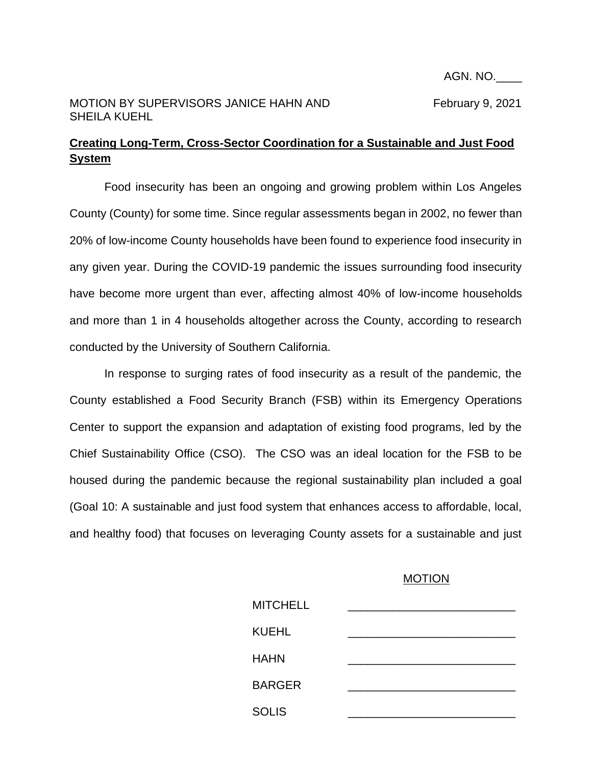## MOTION BY SUPERVISORS JANICE HAHN AND February 9, 2021 SHEILA KUEHL

## **Creating Long-Term, Cross-Sector Coordination for a Sustainable and Just Food System**

Food insecurity has been an ongoing and growing problem within Los Angeles County (County) for some time. Since regular assessments began in 2002, no fewer than 20% of low-income County households have been found to experience food insecurity in any given year. During the COVID-19 pandemic the issues surrounding food insecurity have become more urgent than ever, affecting almost 40% of low-income households and more than 1 in 4 households altogether across the County, according to research conducted by the University of Southern California.

In response to surging rates of food insecurity as a result of the pandemic, the County established a Food Security Branch (FSB) within its Emergency Operations Center to support the expansion and adaptation of existing food programs, led by the Chief Sustainability Office (CSO). The CSO was an ideal location for the FSB to be housed during the pandemic because the regional sustainability plan included a goal (Goal 10: A sustainable and just food system that enhances access to affordable, local, and healthy food) that focuses on leveraging County assets for a sustainable and just

## **MOTION**

| <b>MITCHELL</b> |  |
|-----------------|--|
| <b>KUEHL</b>    |  |
| <b>HAHN</b>     |  |
| <b>BARGER</b>   |  |
| <b>SOLIS</b>    |  |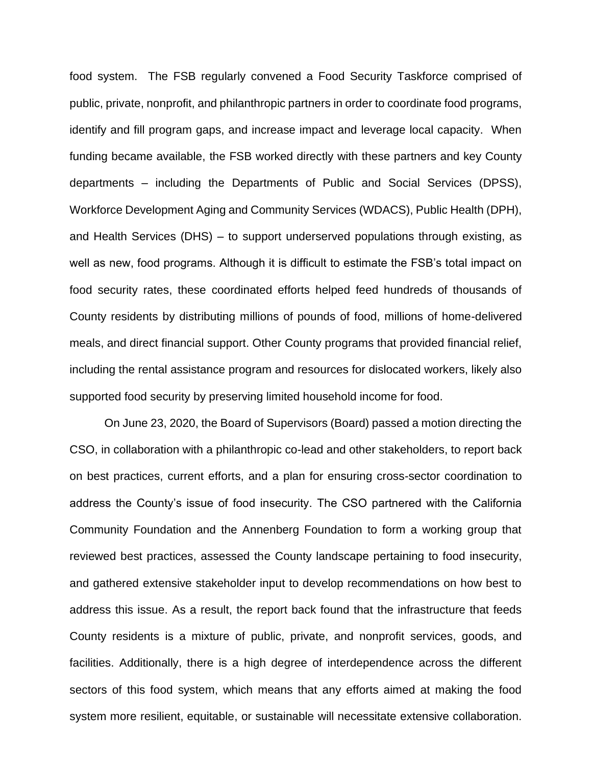food system. The FSB regularly convened a Food Security Taskforce comprised of public, private, nonprofit, and philanthropic partners in order to coordinate food programs, identify and fill program gaps, and increase impact and leverage local capacity. When funding became available, the FSB worked directly with these partners and key County departments – including the Departments of Public and Social Services (DPSS), Workforce Development Aging and Community Services (WDACS), Public Health (DPH), and Health Services (DHS) – to support underserved populations through existing, as well as new, food programs. Although it is difficult to estimate the FSB's total impact on food security rates, these coordinated efforts helped feed hundreds of thousands of County residents by distributing millions of pounds of food, millions of home-delivered meals, and direct financial support. Other County programs that provided financial relief, including the rental assistance program and resources for dislocated workers, likely also supported food security by preserving limited household income for food.

On June 23, 2020, the Board of Supervisors (Board) passed a motion directing the CSO, in collaboration with a philanthropic co-lead and other stakeholders, to report back on best practices, current efforts, and a plan for ensuring cross-sector coordination to address the County's issue of food insecurity. The CSO partnered with the California Community Foundation and the Annenberg Foundation to form a working group that reviewed best practices, assessed the County landscape pertaining to food insecurity, and gathered extensive stakeholder input to develop recommendations on how best to address this issue. As a result, the report back found that the infrastructure that feeds County residents is a mixture of public, private, and nonprofit services, goods, and facilities. Additionally, there is a high degree of interdependence across the different sectors of this food system, which means that any efforts aimed at making the food system more resilient, equitable, or sustainable will necessitate extensive collaboration.